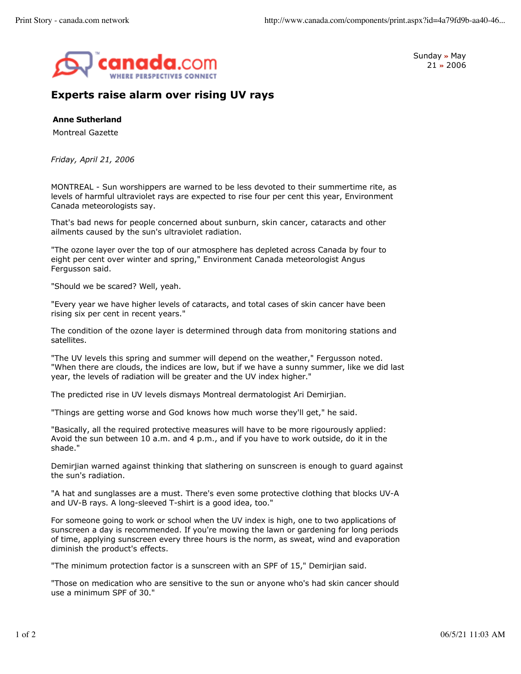

Sunday **»** May 21 **»** 2006

## **Experts raise alarm over rising UV rays**

**Anne Sutherland**

Montreal Gazette

*Friday, April 21, 2006*

MONTREAL - Sun worshippers are warned to be less devoted to their summertime rite, as levels of harmful ultraviolet rays are expected to rise four per cent this year, Environment Canada meteorologists say.

That's bad news for people concerned about sunburn, skin cancer, cataracts and other ailments caused by the sun's ultraviolet radiation.

"The ozone layer over the top of our atmosphere has depleted across Canada by four to eight per cent over winter and spring," Environment Canada meteorologist Angus Fergusson said.

"Should we be scared? Well, yeah.

"Every year we have higher levels of cataracts, and total cases of skin cancer have been rising six per cent in recent years."

The condition of the ozone layer is determined through data from monitoring stations and satellites.

"The UV levels this spring and summer will depend on the weather," Fergusson noted. "When there are clouds, the indices are low, but if we have a sunny summer, like we did last year, the levels of radiation will be greater and the UV index higher."

The predicted rise in UV levels dismays Montreal dermatologist Ari Demirjian.

"Things are getting worse and God knows how much worse they'll get," he said.

"Basically, all the required protective measures will have to be more rigourously applied: Avoid the sun between 10 a.m. and 4 p.m., and if you have to work outside, do it in the shade."

Demirjian warned against thinking that slathering on sunscreen is enough to guard against the sun's radiation.

"A hat and sunglasses are a must. There's even some protective clothing that blocks UV-A and UV-B rays. A long-sleeved T-shirt is a good idea, too."

For someone going to work or school when the UV index is high, one to two applications of sunscreen a day is recommended. If you're mowing the lawn or gardening for long periods of time, applying sunscreen every three hours is the norm, as sweat, wind and evaporation diminish the product's effects.

"The minimum protection factor is a sunscreen with an SPF of 15," Demirjian said.

"Those on medication who are sensitive to the sun or anyone who's had skin cancer should use a minimum SPF of 30."